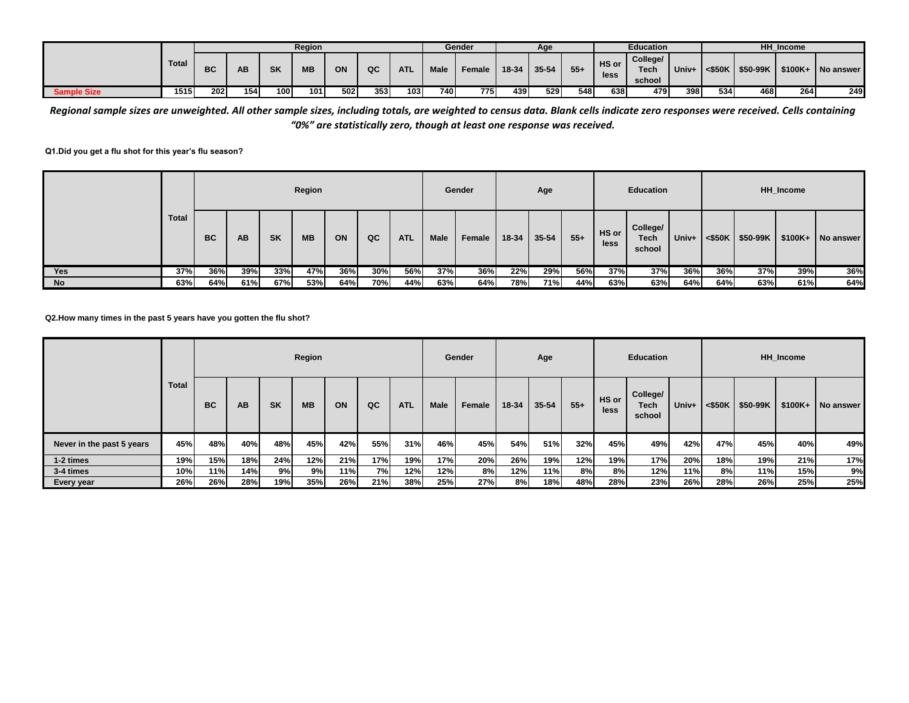|                    |              |             |     |     | Region    |     |     |            |             | Gender |       | Age   |       |               | <b>Education</b>                  |       |              |                 | <b>HH</b> Income |             |
|--------------------|--------------|-------------|-----|-----|-----------|-----|-----|------------|-------------|--------|-------|-------|-------|---------------|-----------------------------------|-------|--------------|-----------------|------------------|-------------|
|                    | <b>Total</b> | ВC          | AΒ  | SK  | <b>MB</b> | ON  | QC  | <b>ATL</b> | <b>Male</b> | Female | 18-34 | 35-54 | $55+$ | HS or<br>less | College/<br><b>Tech</b><br>school | Univ+ | $<$ \$50 $K$ | <b>\$50-99K</b> | $$100K+$         | I No answer |
| <b>Sample Size</b> | 1515         | <b>2021</b> | 154 | 100 | 101.      | 502 | 353 | 103        | 740         | 775    | 439   | 529   | 548   | 638           | 479                               | 398   | 534          | 468             | 264              | 249         |

*Regional sample sizes are unweighted. All other sample sizes, including totals, are weighted to census data. Blank cells indicate zero responses were received. Cells containing "0%" are statistically zero, though at least one response was received.*

## **Q1.Did you get a flu shot for this year's flu season?**

|            |              |           |     |           | Region    |     |     |            |             | Gender |       | Age       |       |               | <b>Education</b>                  |       |     |                      | HH Income |           |
|------------|--------------|-----------|-----|-----------|-----------|-----|-----|------------|-------------|--------|-------|-----------|-------|---------------|-----------------------------------|-------|-----|----------------------|-----------|-----------|
|            | <b>Total</b> | <b>BC</b> | AB  | <b>SK</b> | <b>MB</b> | ON  | QC  | <b>ATL</b> | <b>Male</b> | Female | 18-34 | $35 - 54$ | $55+$ | HS or<br>less | College/<br><b>Tech</b><br>school | Univ+ |     | $<$ \$50K   \$50-99K | $$100K+$  | No answer |
| <b>Yes</b> | 37%          | 36%       | 39% | 33%       | 47%       | 36% | 30% | 56%        | 37%         | 36%    | 22%   | 29%       | 56%   | 37%           | 37%                               | 36%   | 36% | 37%                  | 39%       | 36%       |
| No         | 63%          | 64%       | 61% | 67%       | 53%       | 64% | 70% | 44%        | 63%         | 64%    | 78%   | 71%       | 44%   | 63%           | 63%                               | 64%   | 64% | 63%                  | 61%       | 64%       |

**Q2.How many times in the past 5 years have you gotten the flu shot?**

|                           |              |                                     |     |     | Region    |     |     |            |             | Gender |       | Age       |       |               | <b>Education</b>                  |       |           |          | <b>HH</b> Income |           |
|---------------------------|--------------|-------------------------------------|-----|-----|-----------|-----|-----|------------|-------------|--------|-------|-----------|-------|---------------|-----------------------------------|-------|-----------|----------|------------------|-----------|
|                           | <b>Total</b> | <b>BC</b><br><b>SK</b><br><b>AB</b> |     |     | <b>MB</b> | ON  | QC  | <b>ATL</b> | <b>Male</b> | Female | 18-34 | $35 - 54$ | $55+$ | HS or<br>less | College/<br><b>Tech</b><br>school | Univ+ | $<$ \$50K | \$50-99K | $$100K+$         | No answer |
| Never in the past 5 years | 45%          | 48%                                 | 40% | 48% | 45%       | 42% | 55% | 31%        | 46%         | 45%    | 54%   | 51%       | 32%   | 45%           | 49%                               | 42%   | 47%       | 45%      | 40%              | 49%       |
| 1-2 times                 | 19%          | 15%                                 | 18% | 24% | 12%       | 21% | 17% | 19%        | 17%         | 20%    | 26%   | 19%       | 12%   | 19%           | 17%                               | 20%   | 18%       | 19%      | 21%              | 17%       |
| 3-4 times                 | 10%          | 11%                                 | 14% | 9%  | 9%        | 11% | 7%I | 12%        | 12%         | 8%     | 12%   | 11%       | 8%    | 8%            | 12%                               | 11%   | 8%        | 11%      | 15%              | 9%        |
| Every year                | 26%          | 26%                                 | 28% | 19% | 35%       | 26% | 21% | 38%        | 25%         | 27%    | 8%    | 18%       | 48%   | 28%           | 23%                               | 26%   | 28%       | 26%      | 25%              | 25%       |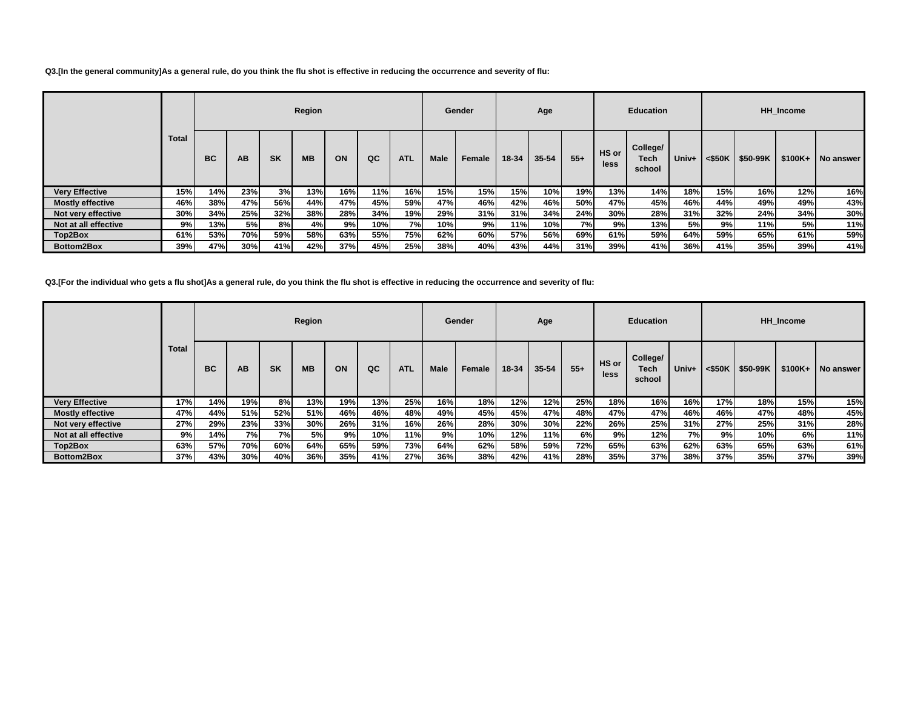**Q3.[In the general community]As a general rule, do you think the flu shot is effective in reducing the occurrence and severity of flu:**

|                         |              |           |     |           | Region    |     |     |            |             | Gender |       | Age       |       |               | <b>Education</b>           |       |                       |          | <b>HH</b> Income |           |
|-------------------------|--------------|-----------|-----|-----------|-----------|-----|-----|------------|-------------|--------|-------|-----------|-------|---------------|----------------------------|-------|-----------------------|----------|------------------|-----------|
|                         | <b>Total</b> | <b>BC</b> | AB  | <b>SK</b> | <b>MB</b> | ON  | QC  | <b>ATL</b> | <b>Male</b> | Female | 18-34 | $35 - 54$ | $55+$ | HS or<br>less | College/<br>Tech<br>school | Univ+ | $<$ \$50K $\parallel$ | \$50-99K | $$100K+$         | No answer |
| <b>Very Effective</b>   | 15%          | 14%       | 23% | 3%        | 13%       | 16% | 11% | 16%        | 15%         | 15%    | 15%   | 10%       | 19%   | 13%           | 14%                        | 18%   | 15%                   | 16%      | 12%              | 16%       |
| <b>Mostly effective</b> | 46%          | 38%       | 47% | 56%       | 44%       | 47% | 45% | 59%        | 47%         | 46%    | 42%   | 46%       | 50%   | 47%           | 45%                        | 46%   | 44%                   | 49%      | 49%              | 43%       |
| Not very effective      | 30%          | 34%       | 25% | 32%       | 38%       | 28% | 34% | 19%        | 29%         | 31%    | 31%   | 34%       | 24%   | 30%           | 28%                        | 31%   | 32%                   | 24%      | 34%              | 30%       |
| Not at all effective    | 9%           | 13%       | 5%l | 8%        | 4%l       | 9%  | 10% | <b>7%</b>  | 10%         | 9%I    | 11%   | 10%       | 7%    | 9%            | 13%                        | 5%    | 9%                    | 11%      | 5%               | 11%       |
| Top2Box                 | 61%          | 53%       | 70% | 59%       | 58%       | 63% | 55% | 75%        | 62%         | 60%    | 57%   | 56%       | 69%   | 61%           | 59%                        | 64%   | 59%                   | 65%      | 61%              | 59%       |
| Bottom2Box              | 39%          | 47%       | 30% | 41%       | 42%       | 37% | 45% | 25%        | 38%         | 40%    | 43%   | 44%       | 31%   | 39%           | 41%                        | 36%   | 41%                   | 35%      | 39%              | 41%       |

**Q3.[For the individual who gets a flu shot]As a general rule, do you think the flu shot is effective in reducing the occurrence and severity of flu:**

|                         |              |           |        |           | Region    |     |     |            |             | Gender |       | Age       |       |               | <b>Education</b>           |           |                       |          | <b>HH</b> Income |           |
|-------------------------|--------------|-----------|--------|-----------|-----------|-----|-----|------------|-------------|--------|-------|-----------|-------|---------------|----------------------------|-----------|-----------------------|----------|------------------|-----------|
|                         | <b>Total</b> | <b>BC</b> | AB     | <b>SK</b> | <b>MB</b> | ON  | QC  | <b>ATL</b> | <b>Male</b> | Female | 18-34 | $35 - 54$ | $55+$ | HS or<br>less | College/<br>Tech<br>school | Univ+     | $<$ \$50K $\parallel$ | \$50-99K | $$100K+$         | No answer |
| <b>Very Effective</b>   | 17%          | 14%       | 19%    | 8%        | 13%       | 19% | 13% | 25%        | 16%         | 18%    | 12%   | 12%       | 25%   | 18%           | 16%                        | 16%       | 17%                   | 18%      | 15%              | 15%       |
| <b>Mostly effective</b> | 47%          | 44%       | 51%    | 52%       | 51%       | 46% | 46% | 48%        | 49%         | 45%    | 45%   | 47%       | 48%   | 47%           | 47%                        | 46%       | 46%                   | 47%      | 48%              | 45%       |
| Not very effective      | 27%          | 29%       | 23%    | 33%       | 30%       | 26% | 31% | 16%        | 26%         | 28%    | 30%   | 30%       | 22%   | 26%           | 25%                        | 31%       | 27%                   | 25%      | 31%              | 28%       |
| Not at all effective    | 9%           | 14%       | 7%I    | 7% l      | 5%l       | 9%  | 10% | 11%        | 9%I         | 10%    | 12%   | 11%       | 6%    | 9%            | 12%                        | <b>7%</b> | 9%I                   | 10%      | 6%               | 11%       |
| Top2Box                 | 63%          | 57%       | 70%    | 60%       | 64%       | 65% | 59% | 73%        | 64%         | 62%    | 58%   | 59%       | 72%   | 65%           | 63%                        | 62%       | 63%                   | 65%      | 63%              | 61%       |
| Bottom2Box              | 37%          | 43%       | $30\%$ | 40%       | 36%       | 35% | 41% | 27%        | 36%         | 38%    | 42%   | 41%       | 28%   | 35%           | 37%                        | 38%l      | 37%                   | 35%      | 37%              | 39%       |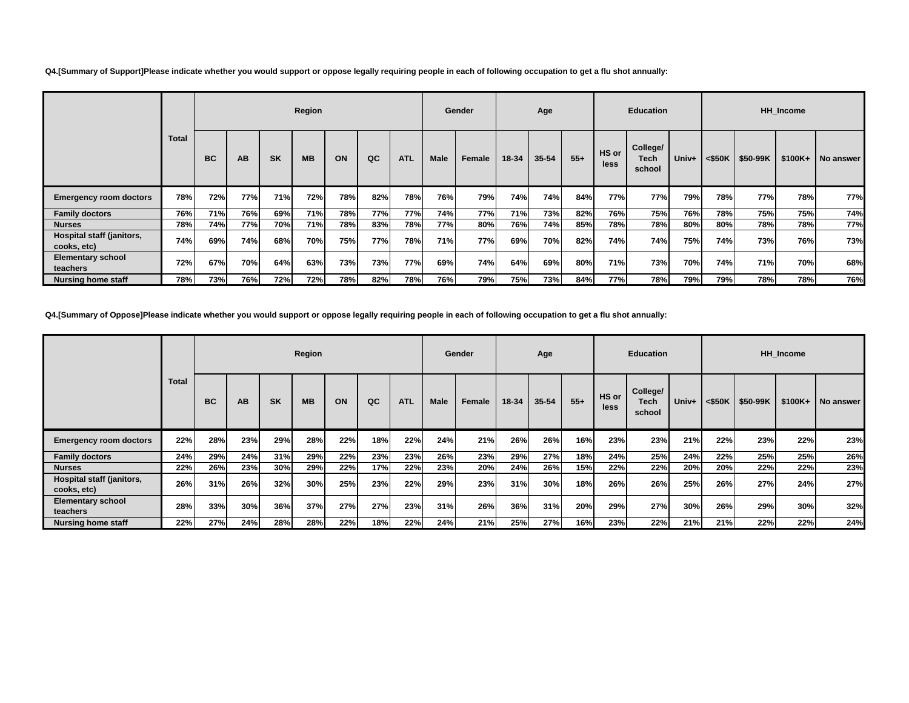| Q4.[Summary of Support]Please indicate whether you would support or oppose legally requiring people in each of following occupation to get a flu shot annually: |
|-----------------------------------------------------------------------------------------------------------------------------------------------------------------|
|-----------------------------------------------------------------------------------------------------------------------------------------------------------------|

|                                          |              |            |     |            | Region    |     |     |            |             | Gender |       | Age       |       |               | <b>Education</b>                  |       |                       |          | <b>HH</b> Income |           |
|------------------------------------------|--------------|------------|-----|------------|-----------|-----|-----|------------|-------------|--------|-------|-----------|-------|---------------|-----------------------------------|-------|-----------------------|----------|------------------|-----------|
|                                          | <b>Total</b> | <b>BC</b>  | AB  | <b>SK</b>  | <b>MB</b> | ON  | QC  | <b>ATL</b> | <b>Male</b> | Female | 18-34 | $35 - 54$ | $55+$ | HS or<br>less | College/<br><b>Tech</b><br>school | Univ+ | $<$ \$50K $\parallel$ | \$50-99K | $$100K+$         | No answer |
| <b>Emergency room doctors</b>            | 78%          | 72%        | 77% | <b>71%</b> | 72%       | 78% | 82% | 78%        | 76%         | 79%    | 74%   | 74%       | 84%   | 77%           | 77%                               | 79%   | 78%                   | 77%      | 78%              | 77%       |
| <b>Family doctors</b>                    | 76%          | 71%        | 76% | 69%        | 71%       | 78% | 77% | 77%        | 74%         | 77%    | 71%   | 73%       | 82%   | 76%           | 75%                               | 76%   | 78%                   | 75%      | 75%              | 74%       |
| <b>Nurses</b>                            | 78%          | 74%        | 77% | 70%        | 71%       | 78% | 83% | 78%        | 77%         | 80%    | 76%   | 74%       | 85%   | 78%           | 78%                               | 80%   | 80%                   | 78%      | 78%              | 77%       |
| Hospital staff (janitors,<br>cooks, etc) | 74%          | 69%        | 74% | 68%        | 70%       | 75% | 77% | 78%        | 71%         | 77%l   | 69%   | 70%       | 82%   | 74%           | 74%                               | 75%   | 74%                   | 73%      | 76%              | 73%       |
| <b>Elementary school</b><br>teachers     | 72%          | 67%        | 70% | 64%        | 63%       | 73% | 73% | 77%        | 69%         | 74%    | 64%   | 69%       | 80%   | 71%           | 73%                               | 70%   | 74%                   | 71%      | 70%              | 68%       |
| <b>Nursing home staff</b>                | 78%          | <b>73%</b> | 76% | 72%        | 72%       | 78% | 82% | 78%        | 76%         | 79%    | 75%   | 73%       | 84%   | 77%           | 78%                               | 79%   | 79%                   | 78%      | 78%              | 76%       |

**Q4.[Summary of Oppose]Please indicate whether you would support or oppose legally requiring people in each of following occupation to get a flu shot annually:**

|                                          |              |           |     |           | Region    |     |     |            |      | Gender |       | Age       |       |                      | <b>Education</b>           |       |         |          | <b>HH_Income</b> |                  |
|------------------------------------------|--------------|-----------|-----|-----------|-----------|-----|-----|------------|------|--------|-------|-----------|-------|----------------------|----------------------------|-------|---------|----------|------------------|------------------|
|                                          | <b>Total</b> | <b>BC</b> | AB  | <b>SK</b> | <b>MB</b> | ON  | QC  | <b>ATL</b> | Male | Female | 18-34 | $35 - 54$ | $55+$ | HS or<br><b>less</b> | College/<br>Tech<br>school | Univ+ | < \$50K | \$50-99K | $$100K+$         | <b>No answer</b> |
| <b>Emergency room doctors</b>            | 22%          | 28%       | 23% | 29%       | 28%       | 22% | 18% | 22%        | 24%  | 21%    | 26%   | 26%       | 16%   | 23%                  | 23%                        | 21%   | 22%     | 23%      | 22%              | 23%              |
| <b>Family doctors</b>                    | 24%          | 29%       | 24% | 31%       | 29%       | 22% | 23% | 23%        | 26%  | 23%    | 29%   | 27%       | 18%   | 24%                  | 25%                        | 24%   | 22%     | 25%      | 25%              | 26%              |
| <b>Nurses</b>                            | 22%          | 26%       | 23% | 30%       | 29%       | 22% | 17% | 22%        | 23%  | 20%    | 24%   | 26%       | 15%   | 22%                  | 22%                        | 20%   | 20%     | 22%      | 22%              | 23%              |
| Hospital staff (janitors,<br>cooks, etc) | 26%          | 31%       | 26% | 32%       | 30%       | 25% | 23% | 22%        | 29%  | 23%    | 31%   | 30%       | 18%   | 26%                  | 26%                        | 25%   | 26%     | 27%      | 24%              | 27%              |
| <b>Elementary school</b><br>teachers     | 28%          | 33%       | 30% | 36%       | 37%       | 27% | 27% | 23%        | 31%  | 26%    | 36%   | 31%       | 20%   | 29%                  | 27%                        | 30%   | 26%     | 29%      | 30%              | 32%              |
| Nursing home staff                       | 22%          | 27%       | 24% | 28%       | 28%       | 22% | 18% | 22%        | 24%  | 21%    | 25%   | 27%       | 16%   | 23%                  | 22%                        | 21%   | 21%     | 22%      | 22%              | 24%              |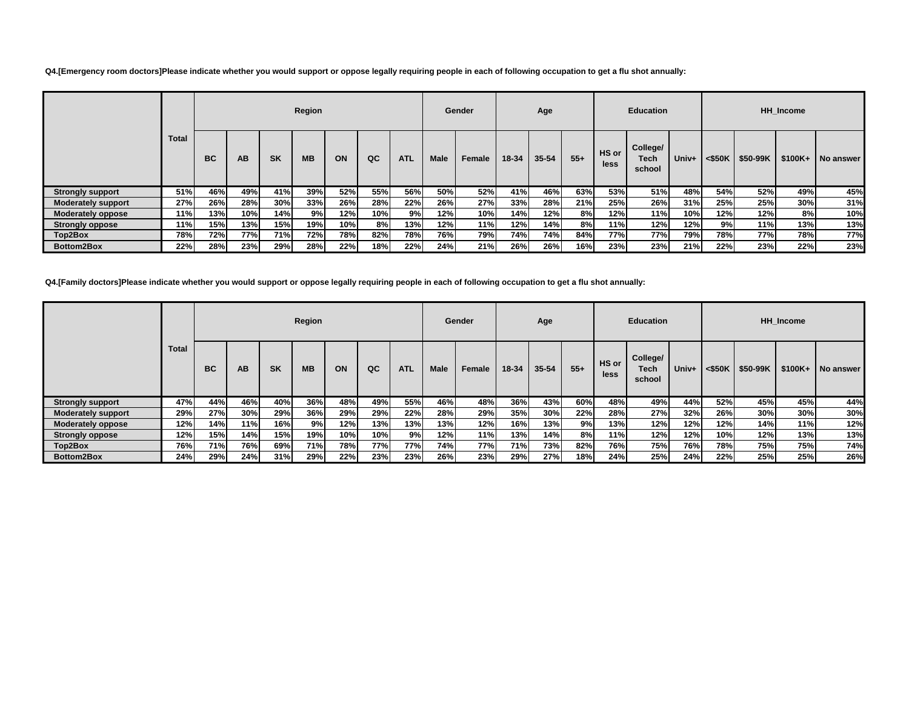**Q4.[Emergency room doctors]Please indicate whether you would support or oppose legally requiring people in each of following occupation to get a flu shot annually:**

|                           |              |            |      |            | Region    |     |     |            |             | Gender |       | Age       |       |                      | <b>Education</b>           |            |                       |          | <b>HH</b> Income |           |
|---------------------------|--------------|------------|------|------------|-----------|-----|-----|------------|-------------|--------|-------|-----------|-------|----------------------|----------------------------|------------|-----------------------|----------|------------------|-----------|
|                           | <b>Total</b> | <b>BC</b>  | AB   | <b>SK</b>  | <b>MB</b> | ON  | QC  | <b>ATL</b> | <b>Male</b> | Female | 18-34 | $35 - 54$ | $55+$ | HS or<br><b>less</b> | College/<br>Tech<br>school | Univ+      | $<$ \$50K $\parallel$ | \$50-99K | $$100K+$         | No answer |
| <b>Strongly support</b>   | 51%          | 46%        | 49%  | 41%        | 39%       | 52% | 55% | 56%        | 50%         | 52%    | 41%   | 46%       | 63%   | 53%                  | 51%                        | 48%        | 54%                   | 52%      | 49%              | 45%       |
| <b>Moderately support</b> | 27%          | 26%        | 28%  | 30%        | 33%       | 26% | 28% | 22%        | 26%         | 27%    | 33%   | 28%       | 21%   | 25%                  | 26%                        | 31%        | 25%                   | 25%      | 30%              | 31%       |
| Moderately oppose         | 11%          | 13%        | 10%  | 14%        | 9%        | 12% | 10% | 9%         | 12%         | 10%    | 14%   | 12%       | 8%    | 12%                  | $11\%$                     | <b>10%</b> | 12%                   | 12%      | 8%               | 10%       |
| <b>Strongly oppose</b>    | 11%          | 15%        | 13%  | 15%        | 19%       | 10% | 8%  | 13%        | 12%         | 11%    | 12%   | 14%       | 8%    | 11%                  | 12%                        | 12%        | 9%                    | 11%      | 13%              | 13%       |
| Top2Box                   | <b>78%</b>   | 72%        | 77%l | <b>71%</b> | 72%       | 78% | 82% | 78%        | 76%         | 79%    | 74%   | 74%       | 84%   | 77%                  | 77%                        | <b>79%</b> | <b>78%</b>            | 77%      | 78%              | 77%       |
| Bottom2Box                | 22%          | <b>28%</b> | 23%  | 29%        | 28%       | 22% | 18% | 22%        | 24%         | 21%    | 26%   | 26%       | 16%   | 23%                  | 23%                        | 21%        | 22%                   | 23%      | 22%              | 23%       |

**Q4.[Family doctors]Please indicate whether you would support or oppose legally requiring people in each of following occupation to get a flu shot annually:**

|                           |              |            |      |           | Region    |     |     |            |            | Gender |       | Age       |       |               | <b>Education</b>           |       |      |                      | HH Income |           |
|---------------------------|--------------|------------|------|-----------|-----------|-----|-----|------------|------------|--------|-------|-----------|-------|---------------|----------------------------|-------|------|----------------------|-----------|-----------|
|                           | <b>Total</b> | <b>BC</b>  | AB   | <b>SK</b> | <b>MB</b> | ON  | QC  | <b>ATL</b> | Male       | Female | 18-34 | $35 - 54$ | $55+$ | HS or<br>less | College/<br>Tech<br>school | Univ+ |      | $<$ \$50K   \$50-99K | $$100K+$  | No answer |
| <b>Strongly support</b>   | 47%          | 44%        | 46%  | 40%       | 36%       | 48% | 49% | 55%        | 46%        | 48%    | 36%   | 43%       | 60%   | 48%           | 49%                        | 44%   | 52%  | 45%                  | 45%       | 44%       |
| <b>Moderately support</b> | 29%          | 27%        | 30%  | 29%       | 36%       | 29% | 29% | 22%        | 28%        | 29%    | 35%   | 30%       | 22%   | 28%           | 27%                        | 32%   | 26%  | 30%                  | 30%       | 30%       |
| <b>Moderately oppose</b>  | 12%          | 14%        | 11%l | 16%       | 9%        | 12% | 13% | 13%        | 13%        | 12%    | 16%   | 13%       | 9%    | 13%           | 12%                        | 12%   | 12%  | 14%                  | 11%       | 12%       |
| <b>Strongly oppose</b>    | 12%          | 15%        | 14%  | 15%       | 19%       | 10% | 10% | 9%I        | 12%        | 11%    | 13%   | 14%       | 8%    | 11%           | 12%                        | 12%   | 10%l | 12%                  | 13%       | 13%       |
| Top2Box                   | 76%          | <b>71%</b> | 76%  | 69%       | 71%       | 78% | 77% | 77%        | <b>74%</b> | 77%    | 71%   | 73%       | 82%   | 76%           | 75%                        | 76%   | 78%  | 75%                  | 75%       | 74%       |
| Bottom2Box                | 24%          | 29%        | 24%I | 31%       | 29%       | 22% | 23% | 23%        | 26%        | 23%    | 29%   | 27%       | 18%   | 24%           | 25%                        | 24%   | 22%  | 25%                  | 25%       | 26%       |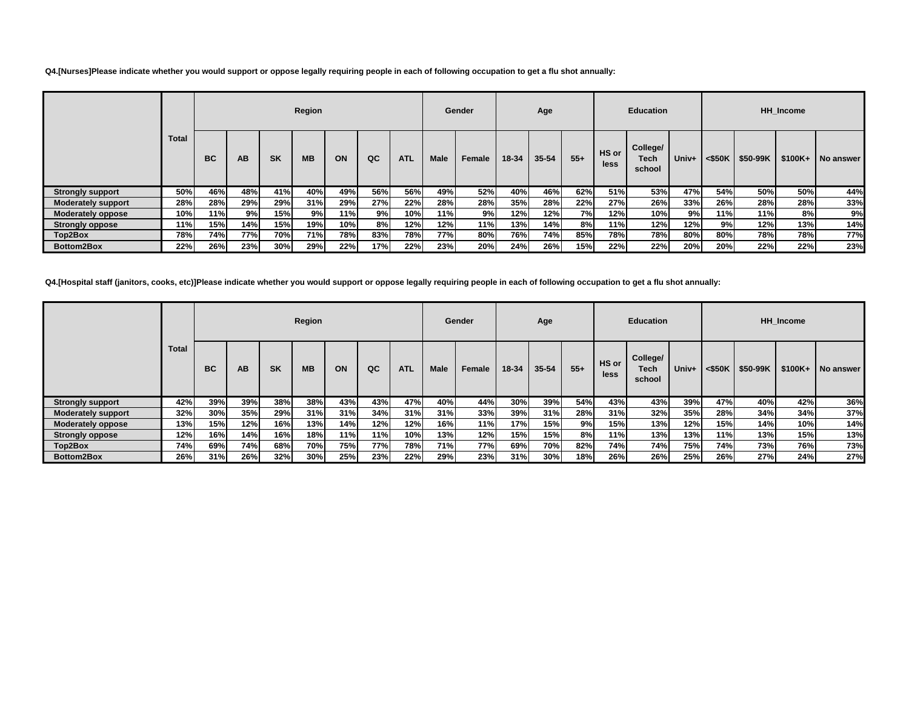**Q4.[Nurses]Please indicate whether you would support or oppose legally requiring people in each of following occupation to get a flu shot annually:**

|                           |              |            |           |           | Region    |     |     |            |             | Gender |       | Age       |       |               | <b>Education</b>           |       |     |                                | <b>HH</b> Income |             |
|---------------------------|--------------|------------|-----------|-----------|-----------|-----|-----|------------|-------------|--------|-------|-----------|-------|---------------|----------------------------|-------|-----|--------------------------------|------------------|-------------|
|                           | <b>Total</b> | <b>BC</b>  | <b>AB</b> | <b>SK</b> | <b>MB</b> | ON  | QC  | <b>ATL</b> | <b>Male</b> | Female | 18-34 | $35 - 54$ | $55+$ | HS or<br>less | College/<br>Tech<br>school | Univ+ |     | $<$ \$50K   \$50-99K   \$100K+ |                  | I No answer |
| <b>Strongly support</b>   | 50%          | 46%        | 48%       | 41%       | 40%       | 49% | 56% | 56%        | 49%         | 52%    | 40%   | 46%       | 62%   | 51%           | 53%                        | 47%   | 54% | 50%                            | 50%              | 44%         |
| <b>Moderately support</b> | 28%          | 28%        | 29%       | 29%       | 31%       | 29% | 27% | 22%        | 28%         | 28%    | 35%   | 28%       | 22%   | 27%           | 26%                        | 33%   | 26% | 28%                            | 28%              | 33%         |
| <b>Moderately oppose</b>  | 10%          | 11%        | 9%        | 15%       | 9%        | 11% | 9%  | 10%        | 11%         | 9%     | 12%   | 12%       | 7%I   | 12%           | 10%                        | 9%    | 11% | 11%                            | 8%               | 9%          |
| <b>Strongly oppose</b>    | 11%          | 15%        | 14%       | 15%       | 19%       | 10% | 8%  | 12%        | 12%         | 11%    | 13%   | 14%       | 8%    | 11%           | 12%                        | 12%   | 9%  | 12%                            | 13%              | 14%         |
| Top2Box                   | 78%          | 74%        | 77%l      | 70%       | 71%       | 78% | 83% | 78%        | <b>77%</b>  | 80%    | 76%   | 74%       | 85%   | 78%           | 78%                        | 80%   | 80% | 78%                            | 78%              | 77%         |
| Bottom2Box                | 22%          | <b>26%</b> | 23%       | 30%       | 29%       | 22% | 17% | 22%        | 23%         | 20%    | 24%   | 26%       | 15%   | 22%           | 22%                        | 20%l  | 20% | 22%                            | 22%              | 23%         |

**Q4.[Hospital staff (janitors, cooks, etc)]Please indicate whether you would support or oppose legally requiring people in each of following occupation to get a flu shot annually:**

|                           |              |     |     |           | Region    |     |     |            |            | Gender |       | Age       |       |               | <b>Education</b>           |       |        |          | HH Income |           |
|---------------------------|--------------|-----|-----|-----------|-----------|-----|-----|------------|------------|--------|-------|-----------|-------|---------------|----------------------------|-------|--------|----------|-----------|-----------|
|                           | <b>Total</b> | BC  | AB  | <b>SK</b> | <b>MB</b> | ON  | QC  | <b>ATL</b> | Male       | Female | 18-34 | $35 - 54$ | $55+$ | HS or<br>less | College/<br>Tech<br>school | Univ+ | <\$50K | \$50-99K | $$100K+$  | No answer |
| <b>Strongly support</b>   | 42%          | 39% | 39% | 38%       | 38%       | 43% | 43% | 47%        | 40%        | 44%    | 30%   | 39%       | 54%   | 43%           | 43%                        | 39%   | 47%    | 40%      | 42%       | 36%       |
| <b>Moderately support</b> | 32%          | 30% | 35% | 29%       | 31%       | 31% | 34% | 31%        | 31%        | 33%    | 39%   | 31%       | 28%   | 31%           | 32%                        | 35%   | 28%    | 34%      | 34%       | 37%       |
| <b>Moderately oppose</b>  | 13%          | 15% | 12% | 16%       | 13%       | 14% | 12% | 12%        | 16%        | 11%    | 17%   | 15%       | 9%    | 15%           | 13%                        | 12%   | 15%    | 14%      | 10%       | 14%       |
| <b>Strongly oppose</b>    | 12%          | 16% | 14% | 16%       | 18%       | 11% | 11% | 10%        | 13%        | 12%    | 15%   | 15%       | 8%    | 11%           | 13%                        | 13%   | 11%    | 13%      | 15%       | 13%       |
| Top2Box                   | 74%          | 69% | 74% | 68%       | 70%       | 75% | 77% | 78%        | <b>71%</b> | 77%    | 69%   | 70%       | 82%   | 74%           | 74%                        | 75%   | 74%    | 73%      | 76%       | 73%       |
| Bottom2Box                | 26%          | 31% | 26% | 32%       | 30%       | 25% | 23% | 22%        | 29%        | 23%    | 31%   | 30%       | 18%   | 26%           | 26%                        | 25%   | 26%    | 27%      | 24%       | 27%       |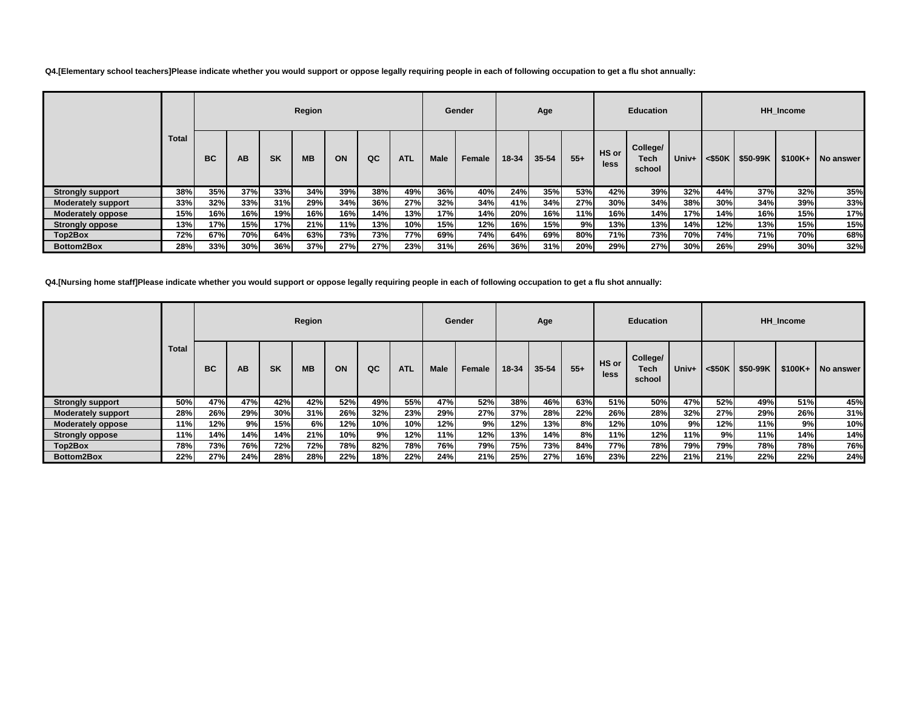**Q4.[Elementary school teachers]Please indicate whether you would support or oppose legally requiring people in each of following occupation to get a flu shot annually:**

|                           |              | Region    |     |           |           |     |     |            |             | Gender | Age   |           |       |                      | <b>Education</b>           |       | <b>HH</b> Income |                                |     |           |
|---------------------------|--------------|-----------|-----|-----------|-----------|-----|-----|------------|-------------|--------|-------|-----------|-------|----------------------|----------------------------|-------|------------------|--------------------------------|-----|-----------|
|                           | <b>Total</b> | <b>BC</b> | AB  | <b>SK</b> | <b>MB</b> | ON  | QC  | <b>ATL</b> | <b>Male</b> | Female | 18-34 | $35 - 54$ | $55+$ | HS or<br><b>less</b> | College/<br>Tech<br>school | Univ+ |                  | $<$ \$50K   \$50-99K   \$100K+ |     | No answer |
| <b>Strongly support</b>   | 38%          | 35%       | 37% | 33%       | 34%       | 39% | 38% | 49%        | 36%         | 40%    | 24%   | 35%       | 53%   | 42%                  | 39%                        | 32%   | 44%              | 37%                            | 32% | 35%       |
| <b>Moderately support</b> | 33%          | 32%       | 33% | 31%       | 29%       | 34% | 36% | 27%        | 32%         | 34%    | 41%   | 34%       | 27%   | 30%                  | 34%                        | 38%   | 30%              | 34%                            | 39% | 33%       |
| <b>Moderately oppose</b>  | 15%          | 16%       | 16% | 19%       | 16%       | 16% | 14% | 13%        | 17%         | 14%    | 20%   | 16%       | 11%   | 16%                  | 14%                        | 17%   | 14%              | 16%                            | 15% | 17%       |
| <b>Strongly oppose</b>    | 13%          | 17%       | 15% | 17%       | 21%       | 11% | 13% | 10%        | 15%         | 12%    | 16%   | 15%       | 9%    | 13%                  | 13%                        | 14%l  | 12%              | 13%                            | 15% | 15%       |
| Top2Box                   | 72%          | 67%       | 70% | 64%       | 63%       | 73% | 73% | 77%l       | 69%         | 74%    | 64%   | 69%       | 80%   | 71%                  | 73%                        | 70%l  | <b>74%</b>       | 71%                            | 70% | 68%       |
| Bottom2Box                | 28%          | 33%       | 30% | 36%       | 37%       | 27% | 27% | 23%        | 31%         | 26%    | 36%   | 31%       | 20%   | 29%                  | 27%                        | 30%   | 26%              | 29%                            | 30% | 32%       |

**Q4.[Nursing home staff]Please indicate whether you would support or oppose legally requiring people in each of following occupation to get a flu shot annually:**

|                           |              |     |     |            | Region    |     |     |            | Gender<br>Age |        |       |           | <b>Education</b> |               |                            |       | HH Income |          |          |           |  |
|---------------------------|--------------|-----|-----|------------|-----------|-----|-----|------------|---------------|--------|-------|-----------|------------------|---------------|----------------------------|-------|-----------|----------|----------|-----------|--|
|                           | <b>Total</b> | BC  | AB  | <b>SK</b>  | <b>MB</b> | ON  | QC  | <b>ATL</b> | Male          | Female | 18-34 | $35 - 54$ | $55+$            | HS or<br>less | College/<br>Tech<br>school | Univ+ | <\$50K    | \$50-99K | $$100K+$ | No answer |  |
| <b>Strongly support</b>   | 50%          | 47% | 47% | 42%        | 42%       | 52% | 49% | 55%        | 47%           | 52%    | 38%   | 46%       | 63%              | 51%           | 50%                        | 47%   | 52%       | 49%      | 51%      | 45%       |  |
| <b>Moderately support</b> | 28%          | 26% | 29% | 30%        | 31%       | 26% | 32% | 23%        | 29%           | 27%    | 37%   | 28%       | 22%              | 26%           | 28%                        | 32%   | 27%       | 29%      | 26%      | 31%       |  |
| <b>Moderately oppose</b>  | 11%          | 12% | 9%  | 15%        | 6%        | 12% | 10% | 10%        | 12%           | 9%l    | 12%   | 13%       | 8%               | 12%           | 10%                        | 9%    | 12%       | 11%      | 9%       | 10%       |  |
| <b>Strongly oppose</b>    | 11%          | 14% | 14% | 14%        | 21%       | 10% | 9%  | 12%        | 11%           | 12%    | 13%   | 14%       | 8%               | 11%           | 12%                        | 11%   | 9%        | 11%      | 14%      | 14%       |  |
| Top2Box                   | 78%          | 73% | 76% | 72%        | 72%       | 78% | 82% | 78%        | 76%           | 79%    | 75%   | 73%       | 84%              | 77%           | 78%                        | 79%   | 79%       | 78%      | 78%      | 76%       |  |
| Bottom2Box                | 22%          | 27% | 24% | <b>28%</b> | 28%       | 22% | 18% | 22%        | 24%           | 21%    | 25%   | 27%       | 16%              | 23%           | 22%                        | 21%   | 21%       | 22%      | 22%      | 24%       |  |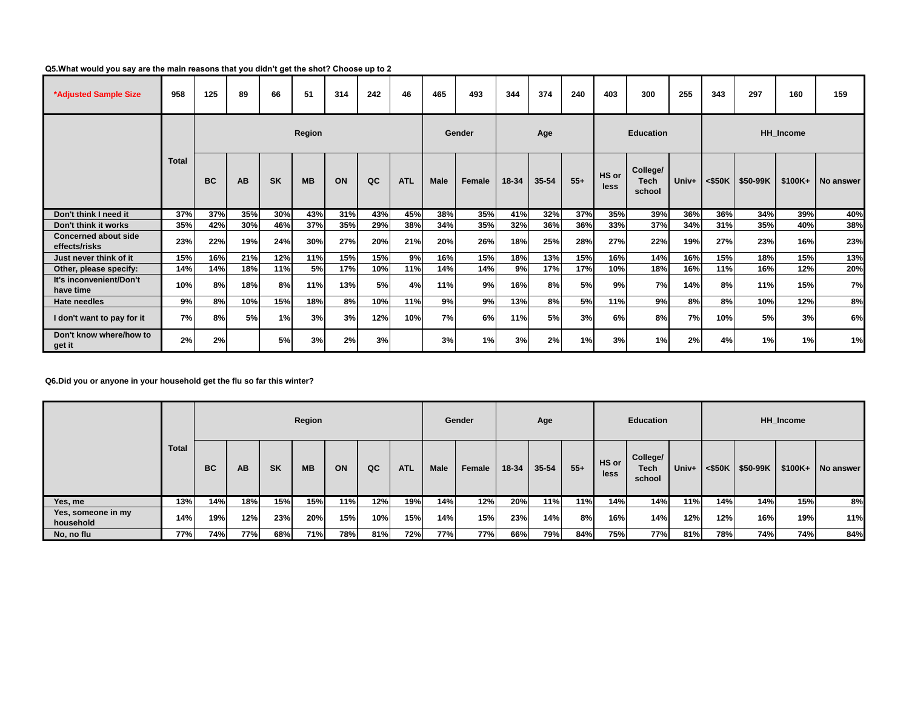## **Q5.What would you say are the main reasons that you didn't get the shot? Choose up to 2**

| *Adjusted Sample Size                        | 958          | 125       | 89        | 66        | 51        | 314 | 242 | 46         | 465         | 493    | 344   | 374       | 240   | 403              | 300                        | 255   | 343       | 297      | 160      | 159       |
|----------------------------------------------|--------------|-----------|-----------|-----------|-----------|-----|-----|------------|-------------|--------|-------|-----------|-------|------------------|----------------------------|-------|-----------|----------|----------|-----------|
|                                              |              | Region    |           |           |           |     |     |            |             | Gender | Age   |           |       | <b>Education</b> |                            |       | HH Income |          |          |           |
|                                              | <b>Total</b> | <b>BC</b> | AB        | <b>SK</b> | <b>MB</b> | ON  | QC  | <b>ATL</b> | <b>Male</b> | Female | 18-34 | $35 - 54$ | $55+$ | HS or<br>less    | College/<br>Tech<br>school | Univ+ | <\$50K    | \$50-99K | $$100K+$ | No answer |
| Don't think I need it                        | 37%          | 37%       | 35%       | 30%       | 43%       | 31% | 43% | 45%        | 38%         | 35%    | 41%   | 32%       | 37%   | 35%              | 39%                        | 36%   | 36%       | 34%      | 39%      | 40%       |
| Don't think it works                         | 35%          | 42%       | 30%       | 46%       | 37%       | 35% | 29% | 38%        | 34%         | 35%    | 32%   | 36%       | 36%   | 33%              | 37%                        | 34%   | 31%       | 35%      | 40%      | 38%       |
| <b>Concerned about side</b><br>effects/risks | 23%          | 22%       | 19%       | 24%       | 30%       | 27% | 20% | 21%        | 20%         | 26%    | 18%   | 25%       | 28%   | 27%              | 22%                        | 19%   | 27%       | 23%      | 16%      | 23%       |
| Just never think of it                       | 15%          | 16%       | 21%       | 12%       | 11%       | 15% | 15% | 9%         | 16%         | 15%    | 18%   | 13%       | 15%   | 16%              | 14%                        | 16%   | 15%       | 18%      | 15%      | 13%       |
| Other, please specify:                       | 14%          | 14%       | 18%       | 11%       | 5%        | 17% | 10% | 11%        | 14%         | 14%    | 9%    | 17%       | 17%   | 10%              | 18%                        | 16%   | 11%       | 16%      | 12%      | 20%       |
| It's inconvenient/Don't<br>have time         | 10%          | 8%l       | 18%       | 8%        | 11%       | 13% | 5%  | 4%         | 11%         | 9%     | 16%   | 8%        | 5%    | 9%               | 7%                         | 14%   | 8%        | 11%      | 15%      | 7%        |
| <b>Hate needles</b>                          | 9%           | 8%l       | 10%       | 15%       | 18%       | 8%  | 10% | 11%        | 9%          | 9%     | 13%   | 8%        | 5%    | 11%              | 9%                         | 8%    | 8%        | 10%      | 12%      | 8%        |
| I don't want to pay for it                   | 7%           | 8%l       | <b>5%</b> | 1%        | 3%        | 3%  | 12% | 10%        | 7%          | 6%     | 11%   | 5%        | 3%    | 6%               | 8%                         | 7%    | 10%       | 5%       | 3%       | 6%        |
| Don't know where/how to<br>get it            | 2%           | 2%        |           | <b>5%</b> | 3%        | 2%  | 3%  |            | 3%          | 1%     | 3%    | 2%        | 1%    | 3%               | 1%                         | 2%    | 4%        | 1%       | 1%       | 1%        |

**Q6.Did you or anyone in your household get the flu so far this winter?**

|                                 | <b>Total</b> |           |     |           | Region    |     |     |            |             | Gender | Age   |           |       |               | <b>Education</b>           |       | <b>HH_Income</b> |          |          |           |
|---------------------------------|--------------|-----------|-----|-----------|-----------|-----|-----|------------|-------------|--------|-------|-----------|-------|---------------|----------------------------|-------|------------------|----------|----------|-----------|
|                                 |              | <b>BC</b> | AB  | <b>SK</b> | <b>MB</b> | ON  | QC  | <b>ATL</b> | <b>Male</b> | Female | 18-34 | $35 - 54$ | $55+$ | HS or<br>less | College/<br>Tech<br>school | Univ+ | <\$50K           | \$50-99K | $$100K+$ | No answer |
| Yes, me                         | 13%          | 14%       | 18% | 15%       | 15%       | 11% | 12% | 19%        | 14%         | 12%    | 20%   | 11%       | 11%   | 14%           | 14%                        | 11%   | 14%              | 14%      | 15%      | 8%        |
| Yes, someone in my<br>household | 14%          | 19%       | 12% | 23%       | 20%       | 15% | 10% | 15%        | 14%         | 15%    | 23%   | 14%       | 8%    | 16%           | 14%                        | 12%   | 12%              | 16%      | 19%      | 11%       |
| No, no flu                      | 77%          | 74%       | 77% | 68%       | 71%       | 78% | 81% | 72%        | 77%         | 77%    | 66%   | 79%       | 84%   | 75%           | 77%                        | 81%   | 78%              | 74%      | 74%      | 84%       |